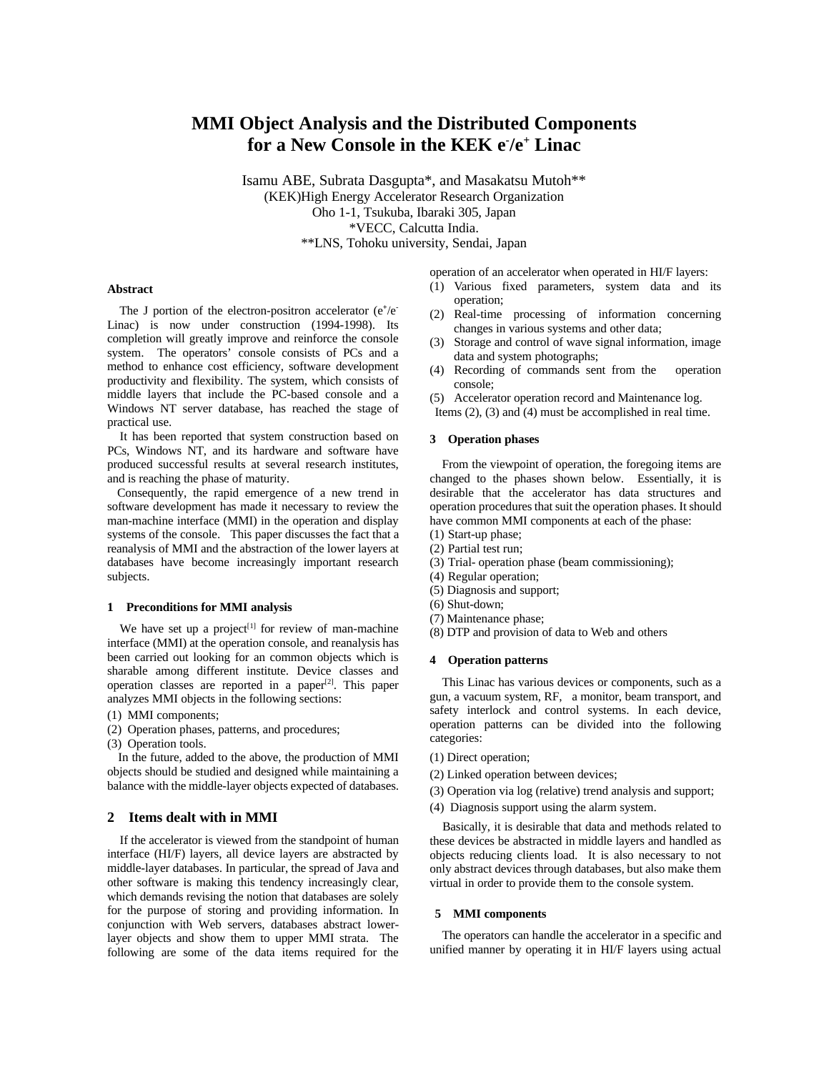# **MMI Object Analysis and the Distributed Components for a New Console in the KEK e- /e<sup>+</sup> Linac**

Isamu ABE, Subrata Dasgupta\*, and Masakatsu Mutoh\*\* (KEK)High Energy Accelerator Research Organization Oho 1-1, Tsukuba, Ibaraki 305, Japan \*VECC, Calcutta India. \*\*LNS, Tohoku university, Sendai, Japan

operation of an accelerator when operated in HI/F layers:

- (1) Various fixed parameters, system data and its operation;
- (2) Real-time processing of information concerning changes in various systems and other data;
- (3) Storage and control of wave signal information, image data and system photographs;
- (4) Recording of commands sent from the operation console;
- (5) Accelerator operation record and Maintenance log.

Items (2), (3) and (4) must be accomplished in real time.

# **3 Operation phases**

 From the viewpoint of operation, the foregoing items are changed to the phases shown below. Essentially, it is desirable that the accelerator has data structures and operation procedures that suit the operation phases. It should have common MMI components at each of the phase:

- (1) Start-up phase;
- (2) Partial test run;
- (3) Trial- operation phase (beam commissioning);
- (4) Regular operation;
- (5) Diagnosis and support;
- (6) Shut-down;
- (7) Maintenance phase;
- (8) DTP and provision of data to Web and others

## **4 Operation patterns**

 This Linac has various devices or components, such as a gun, a vacuum system, RF, a monitor, beam transport, and safety interlock and control systems. In each device, operation patterns can be divided into the following categories:

- (1) Direct operation;
- (2) Linked operation between devices;
- (3) Operation via log (relative) trend analysis and support;
- (4) Diagnosis support using the alarm system.

 Basically, it is desirable that data and methods related to these devices be abstracted in middle layers and handled as objects reducing clients load. It is also necessary to not only abstract devices through databases, but also make them virtual in order to provide them to the console system.

## **5 MMI components**

 The operators can handle the accelerator in a specific and unified manner by operating it in HI/F layers using actual

#### **Abstract**

The J portion of the electron-positron accelerator (e<sup>+</sup>/e<sup>-</sup> Linac) is now under construction (1994-1998). Its completion will greatly improve and reinforce the console system. The operators' console consists of PCs and a method to enhance cost efficiency, software development productivity and flexibility. The system, which consists of middle layers that include the PC-based console and a Windows NT server database, has reached the stage of practical use.

 It has been reported that system construction based on PCs, Windows NT, and its hardware and software have produced successful results at several research institutes, and is reaching the phase of maturity.

 Consequently, the rapid emergence of a new trend in software development has made it necessary to review the man-machine interface (MMI) in the operation and display systems of the console. This paper discusses the fact that a reanalysis of MMI and the abstraction of the lower layers at databases have become increasingly important research subjects.

#### **1 Preconditions for MMI analysis**

We have set up a project<sup>[1]</sup> for review of man-machine interface (MMI) at the operation console, and reanalysis has been carried out looking for an common objects which is sharable among different institute. Device classes and operation classes are reported in a paper<sup>[2]</sup>. This paper analyzes MMI objects in the following sections:

(1) MMI components;

- (2) Operation phases, patterns, and procedures;
- (3) Operation tools.

In the future, added to the above, the production of MMI objects should be studied and designed while maintaining a balance with the middle-layer objects expected of databases.

## **2 Items dealt with in MMI**

 If the accelerator is viewed from the standpoint of human interface (HI/F) layers, all device layers are abstracted by middle-layer databases. In particular, the spread of Java and other software is making this tendency increasingly clear, which demands revising the notion that databases are solely for the purpose of storing and providing information. In conjunction with Web servers, databases abstract lowerlayer objects and show them to upper MMI strata. The following are some of the data items required for the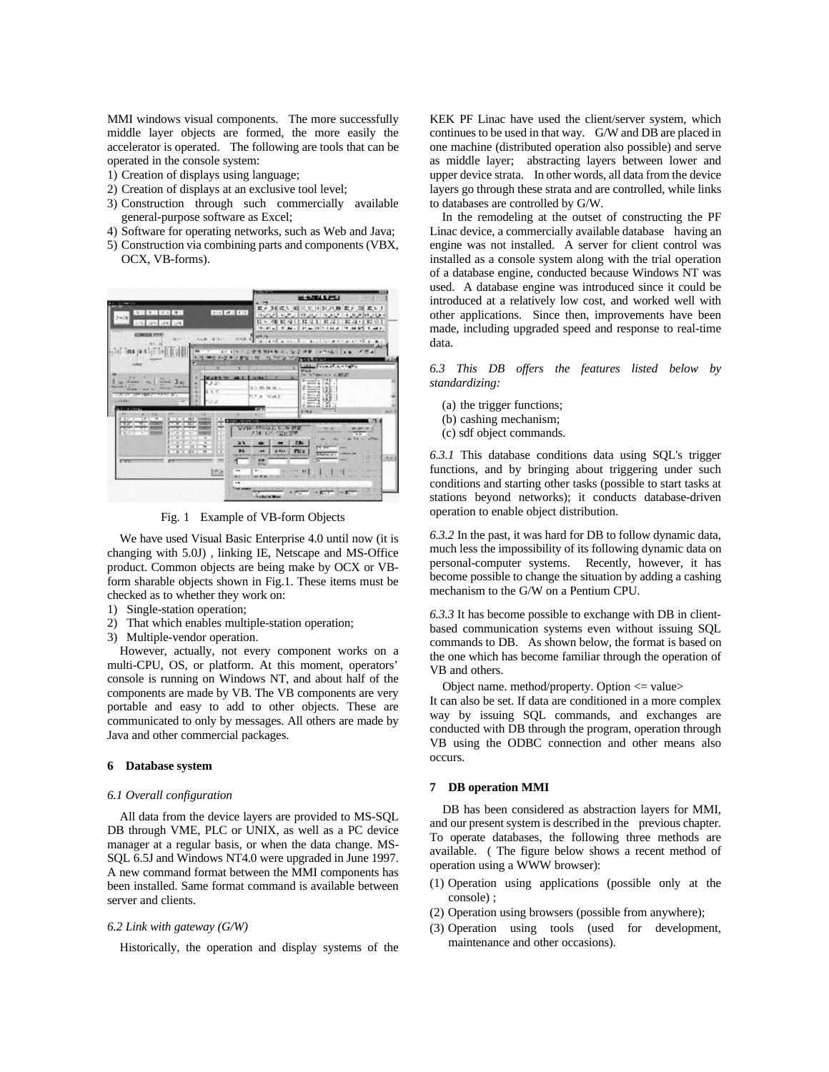MMI windows visual components. The more successfully middle layer objects are formed, the more easily the accelerator is operated. The following are tools that can be operated in the console system:

- 1) Creation of displays using language;
- 2) Creation of displays at an exclusive tool level;
- 3) Construction through such commercially available general-purpose software as Excel;
- 4) Software for operating networks, such as Web and Java;
- 5) Construction via combining parts and components (VBX, OCX, VB-forms).



Fig. 1 Example of VB-form Objects

 We have used Visual Basic Enterprise 4.0 until now (it is changing with 5.0J) , linking IE, Netscape and MS-Office product. Common objects are being make by OCX or VBform sharable objects shown in Fig.1. These items must be checked as to whether they work on:

- 1) Single-station operation;
- 2) That which enables multiple-station operation;
- 3) Multiple-vendor operation.

 However, actually, not every component works on a multi-CPU, OS, or platform. At this moment, operators' console is running on Windows NT, and about half of the components are made by VB. The VB components are very portable and easy to add to other objects. These are communicated to only by messages. All others are made by Java and other commercial packages.

# **6 Database system**

#### *6.1 Overall configuration*

 All data from the device layers are provided to MS-SQL DB through VME, PLC or UNIX, as well as a PC device manager at a regular basis, or when the data change. MS-SQL 6.5J and Windows NT4.0 were upgraded in June 1997. A new command format between the MMI components has been installed. Same format command is available between server and clients.

#### *6.2 Link with gateway (G/W)*

Historically, the operation and display systems of the

KEK PF Linac have used the client/server system, which continues to be used in that way. G/W and DB are placed in one machine (distributed operation also possible) and serve as middle layer; abstracting layers between lower and upper device strata. In other words, all data from the device layers go through these strata and are controlled, while links to databases are controlled by G/W.

In the remodeling at the outset of constructing the PF Linac device, a commercially available database having an engine was not installed. A server for client control was installed as a console system along with the trial operation of a database engine, conducted because Windows NT was used. A database engine was introduced since it could be introduced at a relatively low cost, and worked well with other applications. Since then, improvements have been made, including upgraded speed and response to real-time data.

*6.3 This DB offers the features listed below by standardizing:*

- (a) the trigger functions;
- (b) cashing mechanism;
- (c) sdf object commands.

*6.3.1* This database conditions data using SQL's trigger functions, and by bringing about triggering under such conditions and starting other tasks (possible to start tasks at stations beyond networks); it conducts database-driven operation to enable object distribution.

*6.3.2* In the past, it was hard for DB to follow dynamic data, much less the impossibility of its following dynamic data on personal-computer systems. Recently, however, it has become possible to change the situation by adding a cashing mechanism to the G/W on a Pentium CPU.

*6.3.3* It has become possible to exchange with DB in clientbased communication systems even without issuing SQL commands to DB. As shown below, the format is based on the one which has become familiar through the operation of VB and others.

Object name. method/property. Option <= value>

It can also be set. If data are conditioned in a more complex way by issuing SQL commands, and exchanges are conducted with DB through the program, operation through VB using the ODBC connection and other means also occurs.

## **7 DB operation MMI**

 DB has been considered as abstraction layers for MMI, and our present system is described in the previous chapter. To operate databases, the following three methods are available. ( The figure below shows a recent method of operation using a WWW browser):

- (1) Operation using applications (possible only at the console) ;
- (2) Operation using browsers (possible from anywhere);
- (3) Operation using tools (used for development, maintenance and other occasions).